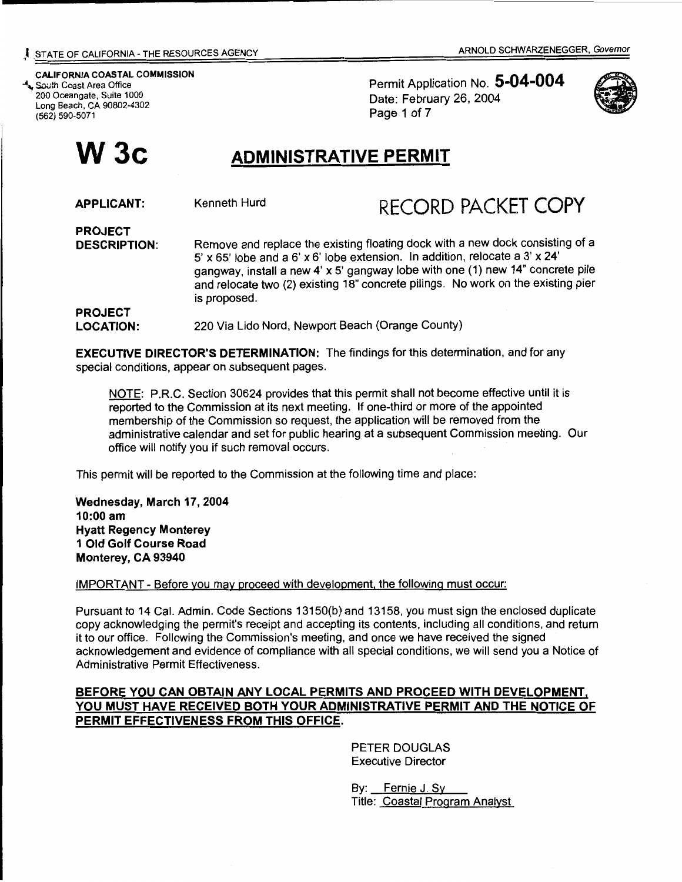CALIFORNIA COASTAL COMMISSION -'\, South Coast Area Office 200 Oceangate, Suite 1000 Long Beach, CA 90802-4302 (562) 590-5071

PROJECT

Permit Application No. 5-04-004 Date: February 26, 2004 Page 1 of 7



# W 3c **ADMINISTRATIVE PERMIT**

APPLICANT:

## Kenneth Hurd RECORD PACKET COPY

PROJECT DESCRIPTION: Remove and replace the existing floating dock with a new dock consisting of a 5' x 65' lobe and a 6' x 6' lobe extension. In addition, relocate a 3' x 24' gangway, install a new 4' x 5' gangway lobe with one (1) new 14" concrete pile and relocate two (2) existing 18" concrete pilings. No work on the existing pier is proposed.

LOCATION: 220 Via Lido Nord, Newport Beach (Orange County)

EXECUTIVE DIRECTOR'S DETERMINATION: The findings for this determination, and for any special conditions, appear on subsequent pages.

NOTE: P.R.C. Section 30624 provides that this permit shall not become effective until it is reported to the Commission at its next meeting. If one-third or more of the appointed membership of the Commission so request, the application will be removed from the administrative calendar and set for public hearing at a subsequent Commission meeting. Our office will notify you if such removal occurs.

This permit will be reported to the Commission at the following time and place:

Wednesday, March 17, 2004 10:00 am Hyatt Regency Monterey 1 Old Golf Course Road Monterey, CA 93940

IMPORTANT- Before you may proceed with development. the following must occur:

Pursuant to 14 Cal. Admin. Code Sections 13150(b) and 13158, you must sign the enclosed duplicate copy acknowledging the permit's receipt and accepting its contents, including all conditions, and return it to our office. Following the Commission's meeting, and once we have received the signed acknowledgement and evidence of compliance with all special conditions, we will send you a Notice of Administrative Permit Effectiveness.

#### BEFORE YOU CAN OBTAIN ANY LOCAL PERMITS AND PROCEED WITH DEVELOPMENT, YOU MUST HAVE RECEIVED BOTH YOUR ADMINISTRATIVE PERMIT AND THE NOTICE OF PERMIT EFFECTIVENESS FROM THIS OFFICE.

PETER DOUGLAS Executive Director

By: Fernie J. Sy Title: Coastal Program Analyst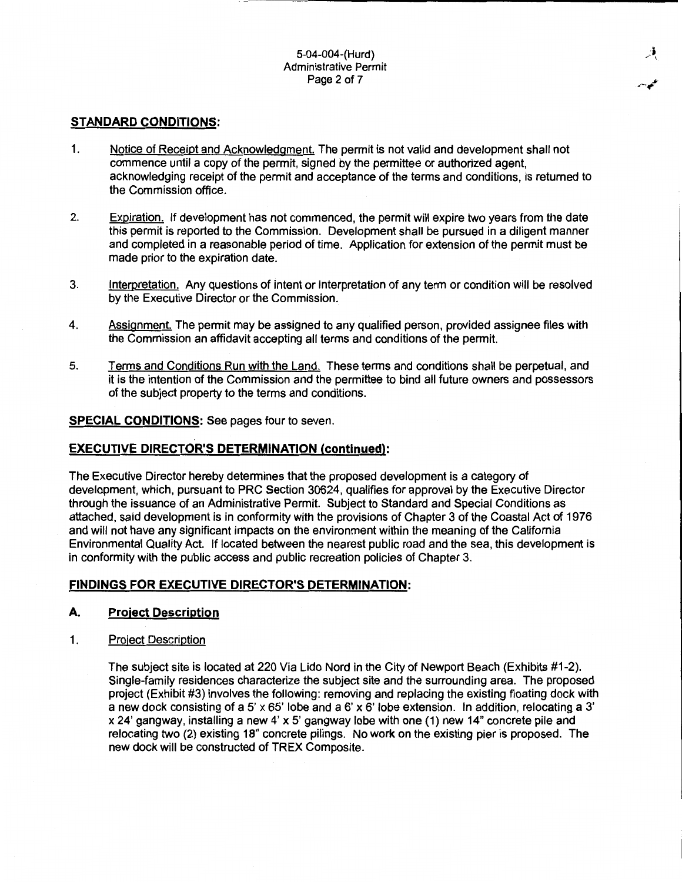#### **STANDARD CONDITIONS:**

- 1. Notice of Receipt and Acknowledgment. The permit is not valid and development shall not commence until a copy of the permit, signed by the permittee or authorized agent, acknowledging receipt of the permit and acceptance of the terms and conditions, is returned to the Commission office.
- 2. Expiration. If development has not commenced, the permit will expire two years from the date this permit is reported to the Commission. Development shall be pursued in a diligent manner and completed in a reasonable period of time. Application for extension of the permit must be made prior to the expiration date.
- 3. Interpretation. Any questions of intent or interpretation of any term or condition will be resolved by the Executive Director or the Commission.
- 4. Assignment. The permit may be assigned to any qualified person, provided assignee files with the Commission an affidavit accepting all terms and conditions of the permit.
- 5. Terms and Conditions Run with the Land. These terms and conditions shall be perpetual, and it is the intention of the Commission and the permittee to bind all future owners and possessors of the subject property to the terms and conditions.

#### **SPECIAL CONDITIONS:** See pages four to seven.

#### **EXECUTIVE DIRECTOR'S DETERMINATION (continued):**

The Executive Director hereby determines that the proposed development is a category of development, which, pursuant to PRC Section 30624, qualifies for approval by the Executive Director through the issuance of an Administrative Permit. Subject to Standard and Special Conditions as attached, said development is in conformity with the provisions of Chapter 3 of the Coastal Act of 1976 and will not have any significant impacts on the environment within the meaning of the California Environmental Quality Act. If located between the nearest public road and the sea, this development is in conformity with the public access and public recreation policies of Chapter 3.

#### **FINDINGS FOR EXECUTIVE DIRECTOR'S DETERMINATION:**

#### **A. Project Description**

1. Project Description

The subject site is located at 220 Via Lido Nord in the City of Newport Beach (Exhibits #1-2). Single-family residences characterize the subject site and the surrounding area. The proposed project (Exhibit #3) involves the following: removing and replacing the existing floating dock with a new dock consisting of a 5' x 65' lobe and a 6' x 6' lobe extension. In addition, relocating a 3' x 24' gangway, installing a new 4' x 5' gangway lobe with one ( 1) new 14" concrete pile and relocating two (2) existing 18" concrete pilings. No work on the existing pier is proposed. The new dock will be constructed of TREX Composite.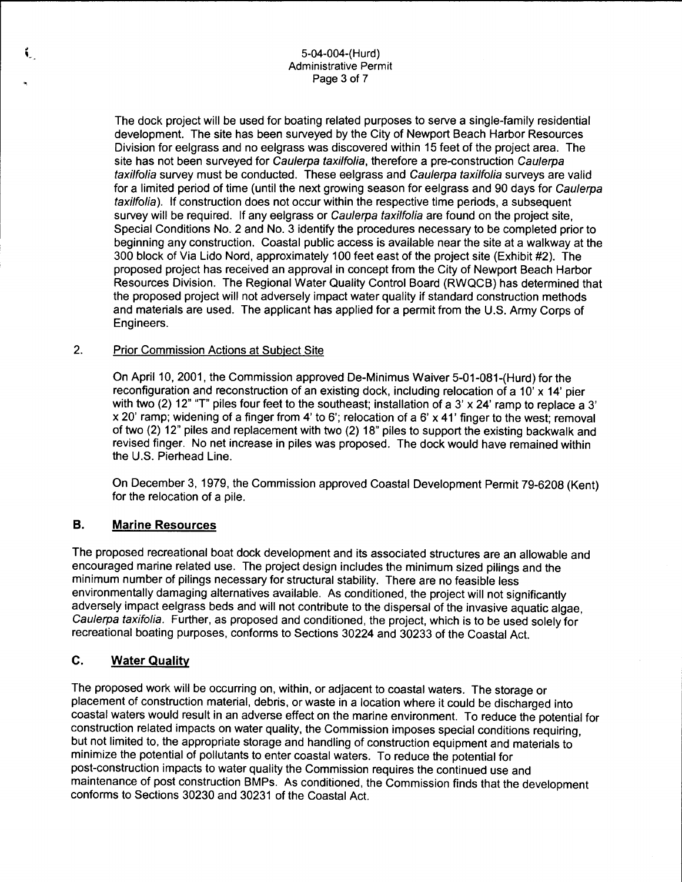#### 5-04-004-( Hurd) Administrative Permit Page 3 of 7

The dock project will be used for boating related purposes to serve a single-family residential development. The site has been surveyed by the City of Newport Beach Harbor Resources Division for eelgrass and no eelgrass was discovered within 15 feet of the project area. The site has not been surveyed for Caulerpa taxilfolia, therefore a pre-construction Caulerpa taxilfolia survey must be conducted. These eelgrass and Caulerpa taxilfolia surveys are valid for a limited period of time (until the next growing season for eelgrass and 90 days for Caulerpa taxilfolia). If construction does not occur within the respective time periods, a subsequent survey will be required. If any eelgrass or Caulerpa taxilfolia are found on the project site, Special Conditions No. 2 and No. 3 identify the procedures necessary to be completed prior to beginning any construction. Coastal public access is available near the site at a walkway at the 300 block of Via Lido Nord, approximately 100 feet east of the project site (Exhibit #2). The proposed project has received an approval in concept from the City of Newport Beach Harbor Resources Division. The Regional Water Quality Control Board (RWQCB) has determined that the proposed project will not adversely impact water quality if standard construction methods and materials are used. The applicant has applied for a permit from the U.S. Army Corps of Engineers.

#### 2. Prior Commission Actions at Subject Site

On April 10, 2001, the Commission approved De-Minimus Waiver 5-01-081-(Hurd) for the reconfiguration and reconstruction of an existing dock, including relocation of a 10' x 14' pier with two (2) 12" "T" piles four feet to the southeast; installation of a 3' x 24' ramp to replace a 3' x 20' ramp; widening of a finger from 4' to 6'; relocation of a 6' x 41' finger to the west; removal of two (2) 12" piles and replacement with two (2) 18" piles to support the existing backwalk and revised finger. No net increase in piles was proposed. The dock would have remained within the U.S. Pierhead Line.

On December 3, 1979, the Commission approved Coastal Development Permit 79-6208 (Kent) for the relocation of a pile.

#### **B. Marine Resources**

.•.

í.

The proposed recreational boat dock development and its associated structures are an allowable and encouraged marine related use. The project design includes the minimum sized pilings and the minimum number of pilings necessary for structural stability. There are no feasible less environmentally damaging alternatives available. As conditioned, the project will not significantly adversely impact eelgrass beds and will not contribute to the dispersal of the invasive aquatic algae, Caulerpa taxifolia. Further, as proposed and conditioned, the project, which is to be used solely for recreational boating purposes, conforms to Sections 30224 and 30233 of the Coastal Act.

#### **C. Water Quality**

The proposed work will be occurring on, within, or adjacent to coastal waters. The storage or placement of construction material, debris, or waste in a location where it could be discharged into coastal waters would result in an adverse effect on the marine environment. To reduce the potential for construction related impacts on water quality, the Commission imposes special conditions requiring, but not limited to, the appropriate storage and handling of construction equipment and materials to minimize the potential of pollutants to enter coastal waters. To reduce the potential for post-construction impacts to water quality the Commission requires the continued use and maintenance of post construction BMPs. As conditioned, the Commission finds that the development conforms to Sections 30230 and 30231 of the Coastal Act.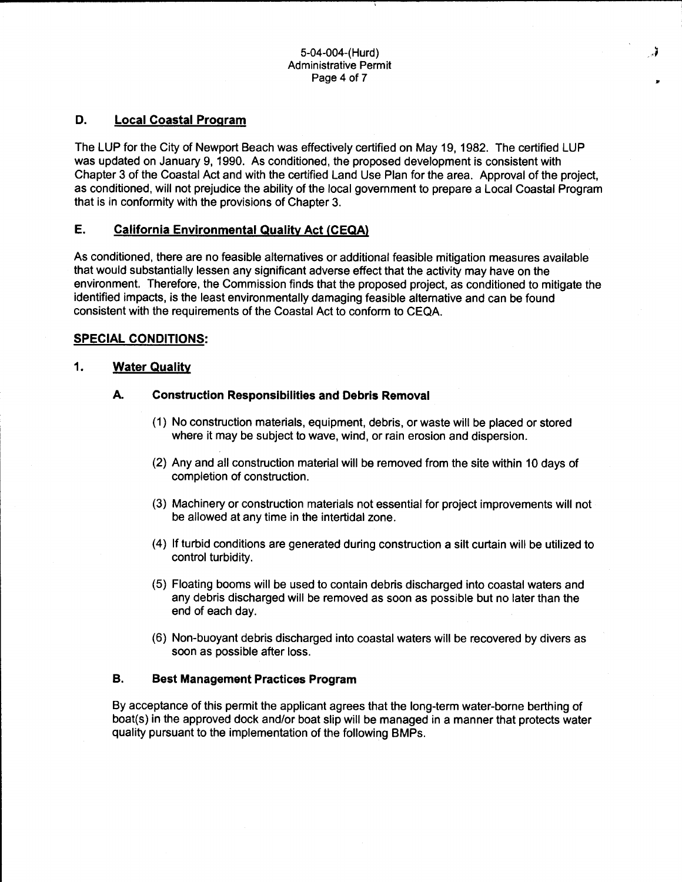#### 5-04-004-(Hurd) Administrative Permit Page 4 of 7

.J

..

#### **D. Local Coastal Program**

The LUP for the City of Newport Beach was effectively certified on May 19, 1982. The certified LUP was updated on January 9, 1990. As conditioned, the proposed development is consistent with Chapter 3 of the Coastal Act and with the certified Land Use Plan for the area. Approval of the project, as conditioned, will not prejudice the ability of the local government to prepare a Local Coastal Program that is in conformity with the provisions of Chapter 3.

#### **E. California Environmental Quality Act (CEQA)**

As conditioned, there are no feasible alternatives or additional feasible mitigation measures available that would substantially lessen any significant adverse effect that the activity may have on the environment. Therefore, the Commission finds that the proposed project, as conditioned to mitigate the identified impacts, is the least environmentally damaging feasible alternative and can be found consistent with the requirements of the Coastal Act to conform to CEQA.

#### **SPECIAL CONDITIONS:**

#### **1. Water Quality**

#### **A. Construction Responsibilities and Debris Removal**

- (1) No construction materials, equipment, debris, or waste will be placed or stored where it may be subject to wave, wind, or rain erosion and dispersion.
- (2) Any and all construction material will be removed from the site within 10 days of completion of construction.
- (3) Machinery or construction materials not essential for project improvements will not be allowed at any time in the intertidal zone.
- (4) If turbid conditions are generated during construction a silt curtain will be utilized to control turbidity.
- (5) Floating booms will be used to contain debris discharged into coastal waters and any debris discharged will be removed as soon as possible but no later than the end of each day.
- (6) Non-buoyant debris discharged into coastal waters will be recovered by divers as soon as possible after loss.

#### **B. Best Management Practices Program**

By acceptance of this permit the applicant agrees that the long-term water-borne berthing of boat(s) in the approved dock and/or boat slip will be managed in a manner that protects water quality pursuant to the implementation of the following BMPs.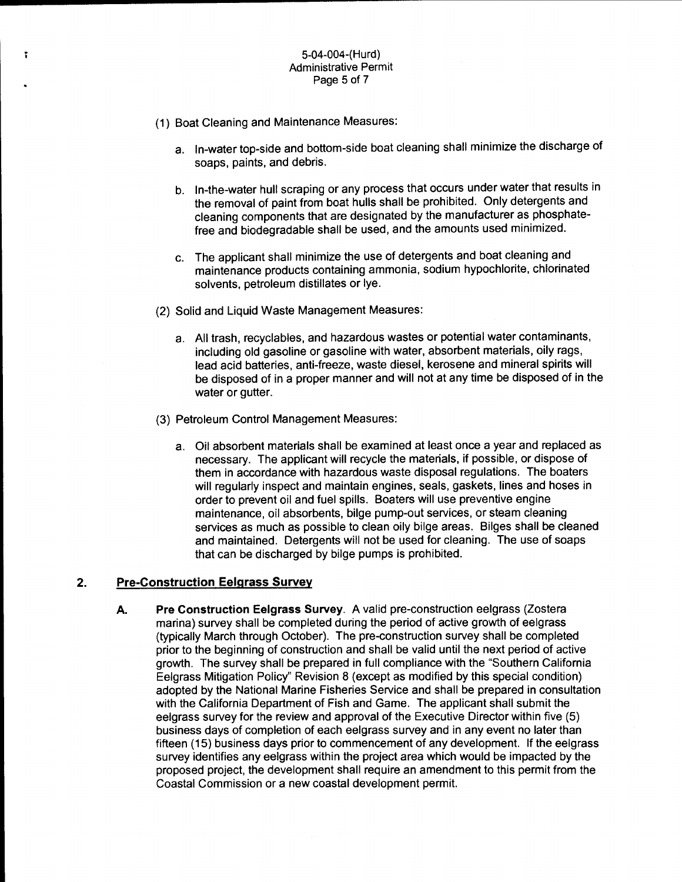#### 5-04-004-(Hurd) Administrative Permit Page 5 of 7

(1) Boat Cleaning and Maintenance Measures:

ĩ.

- a. In-water top-side and bottom-side boat cleaning shall minimize the discharge of soaps, paints, and debris.
- b. In-the-water hull scraping or any process that occurs under water that results in the removal of paint from boat hulls shall be prohibited. Only detergents and cleaning components that are designated by the manufacturer as phosphatefree and biodegradable shall be used, and the amounts used minimized.
- c. The applicant shall minimize the use of detergents and boat cleaning and maintenance products containing ammonia, sodium hypochlorite, chlorinated solvents, petroleum distillates or lye.
- (2) Solid and Liquid Waste Management Measures:
	- a. All trash, recyclables, and hazardous wastes or potential water contaminants, including old gasoline or gasoline with water, absorbent materials, oily rags, lead acid batteries, anti-freeze, waste diesel, kerosene and mineral spirits will be disposed of in a proper manner and will not at any time be disposed of in the water or gutter.
- (3) Petroleum Control Management Measures:
	- a. Oil absorbent materials shall be examined at least once a year and replaced as necessary. The applicant will recycle the materials, if possible, or dispose of them in accordance with hazardous waste disposal regulations. The boaters will regularly inspect and maintain engines, seals, gaskets, lines and hoses in order to prevent oil and fuel spills. Boaters will use preventive engine maintenance, oil absorbents, bilge pump-out services, or steam cleaning services as much as possible to clean oily bilge areas. Bilges shall be cleaned and maintained. Detergents will not be used for cleaning. The use of soaps that can be discharged by bilge pumps is prohibited.

#### **2. Pre-Construction Eelgrass Survey**

**A. Pre Construction Eelgrass Survey.** A valid pre-construction eelgrass (Zostera marina) survey shall be completed during the period of active growth of eelgrass (typically March through October). The pre-construction survey shall be completed prior to the beginning of construction and shall be valid until the next period of active growth. The survey shall be prepared in full compliance with the "Southern California Eelgrass Mitigation Policy" Revision 8 (except as modified by this special condition) adopted by the National Marine Fisheries Service and shall be prepared in consultation with the California Department of Fish and Game. The applicant shall submit the eelgrass survey for the review and approval of the Executive Director within five (5) business days of completion of each eelgrass survey and in any event no later than fifteen (15) business days prior to commencement of any development. If the eelgrass survey identifies any eelgrass within the project area which would be impacted by the proposed project, the development shall require an amendment to this permit from the Coastal Commission or a new coastal development permit.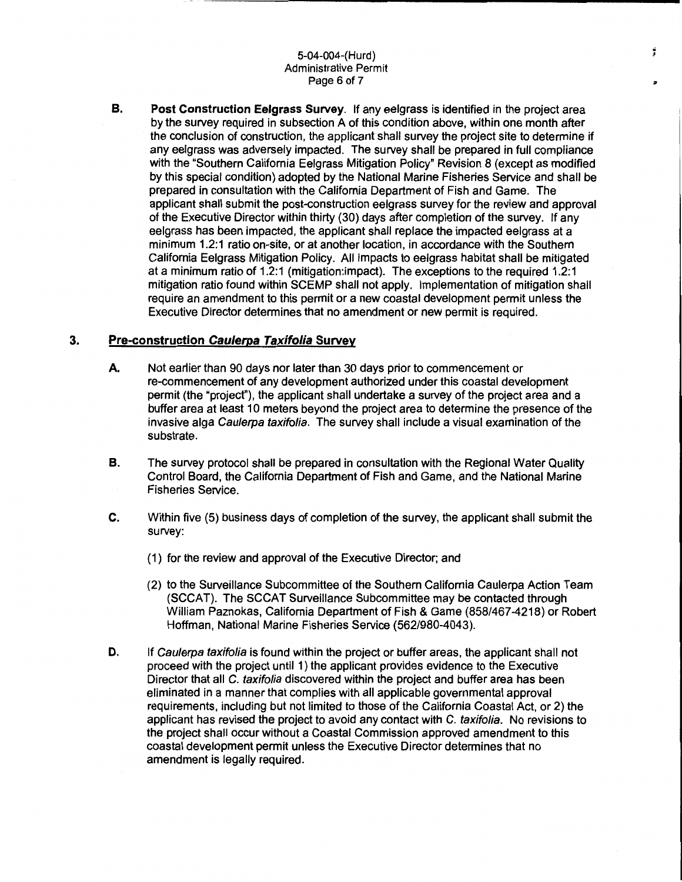#### 5-04-004-(Hurd) Administrative Permit Page 6 of 7

**B. Post Construction Eelgrass Survey.** If any eelgrass is identified in the project area by the survey required in subsection A of this condition above, within one month after the conclusion of construction, the applicant shall survey the project site to determine if any eelgrass was adversely impacted. The survey shall be prepared in full compliance with the "Southern California Eelgrass Mitigation Policy" Revision 8 (except as modified by this special condition) adopted by the National Marine Fisheries Service and shall be prepared in consultation with the California Department of Fish and Game. The applicant shall submit the post-construction eelgrass survey for the review and approval of the Executive Director within thirty (30) days after completion of the survey. If any eelgrass has been impacted, the applicant shall replace the impacted eelgrass at a minimum 1.2:1 ratio on-site, or at another location, in accordance with the Southern California Eelgrass Mitigation Policy. All impacts to eelgrass habitat shall be mitigated at a minimum ratio of 1.2:1 (mitigation:impact). The exceptions to the required 1.2:1 mitigation ratio found within SCEMP shall not apply. Implementation of mitigation shall require an amendment to this permit or a new coastal development permit unless the Executive Director determines that no amendment or new permit is required.

#### **3. Pre-construction Caulerpa Taxifolia Survey**

- **A.** Not earlier than 90 days nor later than 30 days prior to commencement or re-commencement of any development authorized under this coastal development permit (the "project"), the applicant shall undertake a survey of the project area and a buffer area at least 10 meters beyond the project area to determine the presence of the invasive alga Caulerpa taxifolia. The survey shall include a visual examination of the substrate.
- **B.** The survey protocol shall be prepared in consultation with the Regional Water Quality Control Board, the California Department of Fish and Game, and the National Marine Fisheries Service.
- C. Within five (5) business days of completion of the survey, the applicant shall submit the survey:
	- (1) for the review and approval of the Executive Director; and
	- (2) to the Surveillance Subcommittee of the Southern California Caulerpa Action Team (SCCAT). The SCCAT Surveillance Subcommittee may be contacted through William Paznokas, California Department of Fish & Game (858/467-4218) or Robert Hoffman, National Marine Fisheries Service {562/980-4043).
- **D.** If Caulerpa taxifolia is found within the project or buffer areas, the applicant shall not proceed with the project until 1) the applicant provides evidence to the Executive Director that all C. taxifolia discovered within the project and buffer area has been eliminated in a manner that complies with all applicable governmental approval requirements, including but not limited to those of the California Coastal Act, or 2) the applicant has revised the project to avoid any contact with C. taxifolia. No revisions to the project shall occur without a Coastal Commission approved amendment to this coastal development permit unless the Executive Director determines that no amendment is legally required.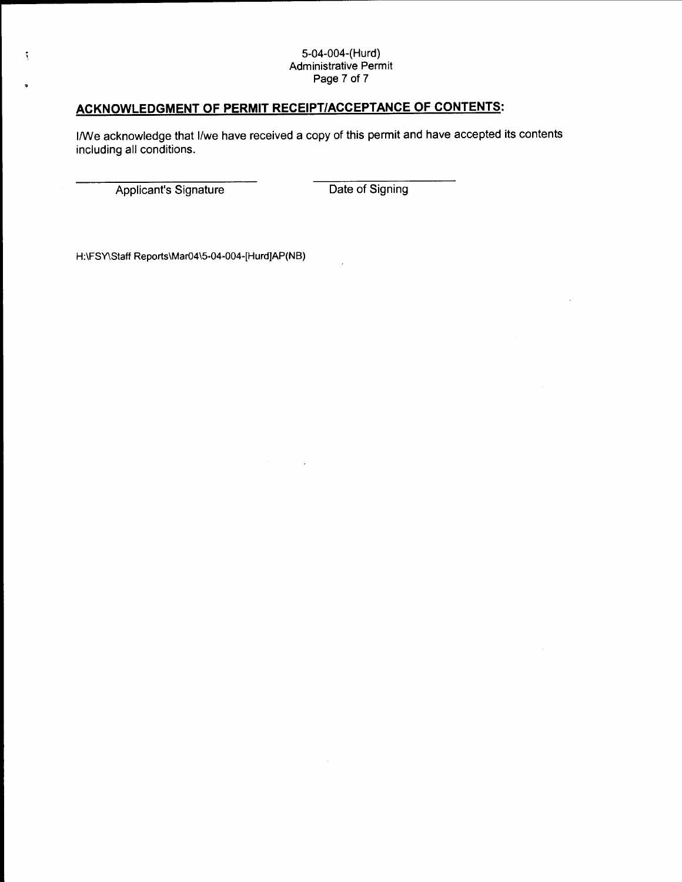#### 5-04-004-(Hurd) Administrative Permit Page 7 of 7

### **ACKNOWLEDGMENT OF PERMIT RECEIPT/ACCEPTANCE OF CONTENTS:**

1/We acknowledge that 1/we have received a copy of this permit and have accepted its contents including all conditions.

Applicant's Signature Date of Signing

 $\tilde{\mathbf{y}}$ 

H:\FSY\Staff Reports\Mar04\5-04-004-[Hurd]AP(NB)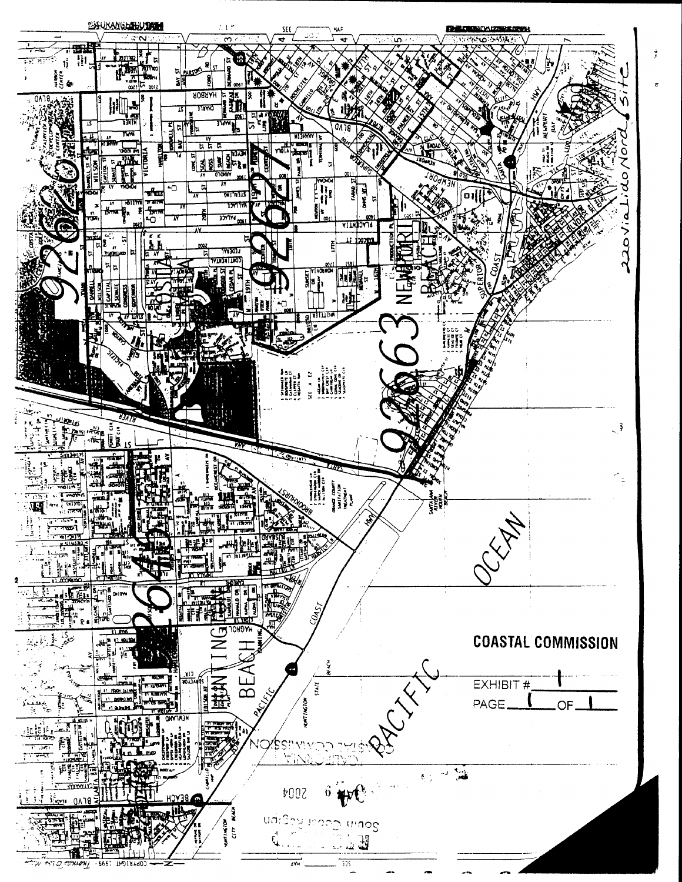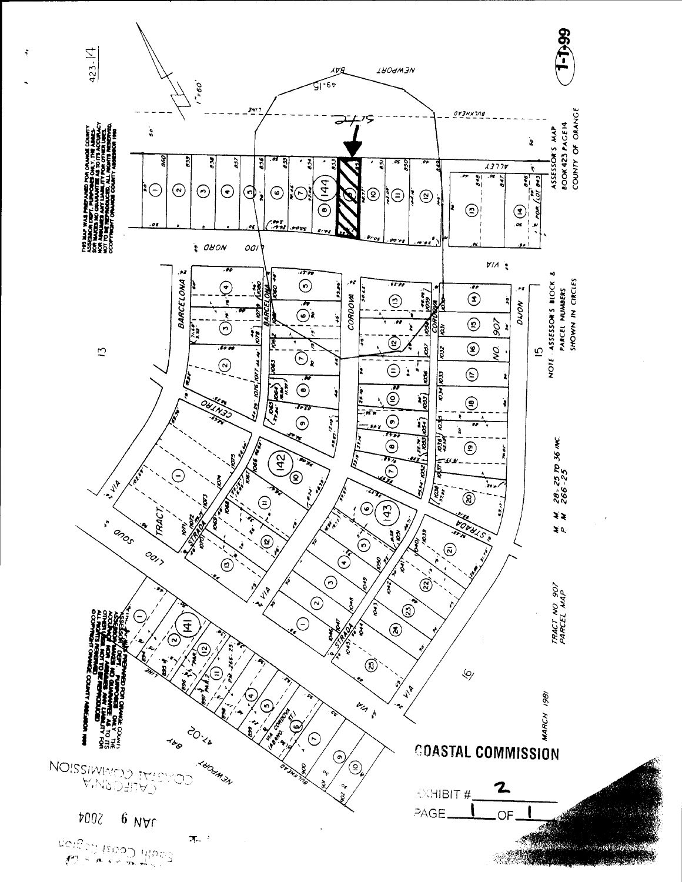

 $\ddot{ }$